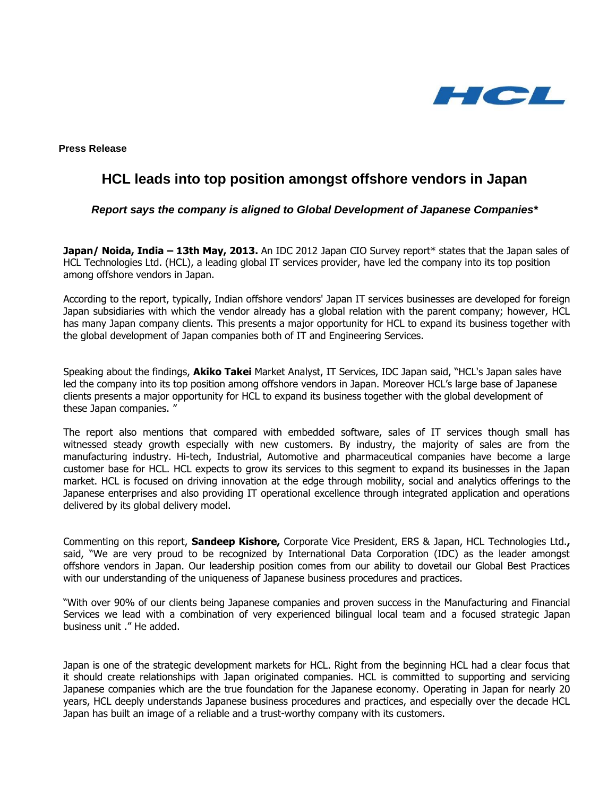

**Press Release**

# **HCL leads into top position amongst offshore vendors in Japan**

*Report says the company is aligned to Global Development of Japanese Companies\**

**Japan/ Noida, India – 13th May, 2013.** An IDC 2012 Japan CIO Survey report\* states that the Japan sales of HCL Technologies Ltd. (HCL), a leading global IT services provider, have led the company into its top position among offshore vendors in Japan.

According to the report, typically, Indian offshore vendors' Japan IT services businesses are developed for foreign Japan subsidiaries with which the vendor already has a global relation with the parent company; however, HCL has many Japan company clients. This presents a major opportunity for HCL to expand its business together with the global development of Japan companies both of IT and Engineering Services.

Speaking about the findings, **Akiko Takei** Market Analyst, IT Services, IDC Japan said, "HCL's Japan sales have led the company into its top position among offshore vendors in Japan. Moreover HCL's large base of Japanese clients presents a major opportunity for HCL to expand its business together with the global development of these Japan companies. "

The report also mentions that compared with embedded software, sales of IT services though small has witnessed steady growth especially with new customers. By industry, the majority of sales are from the manufacturing industry. Hi-tech, Industrial, Automotive and pharmaceutical companies have become a large customer base for HCL. HCL expects to grow its services to this segment to expand its businesses in the Japan market. HCL is focused on driving innovation at the edge through mobility, social and analytics offerings to the Japanese enterprises and also providing IT operational excellence through integrated application and operations delivered by its global delivery model.

Commenting on this report, **Sandeep Kishore,** Corporate Vice President, ERS & Japan, HCL Technologies Ltd.**,** said, "We are very proud to be recognized by International Data Corporation (IDC) as the leader amongst offshore vendors in Japan. Our leadership position comes from our ability to dovetail our Global Best Practices with our understanding of the uniqueness of Japanese business procedures and practices.

"With over 90% of our clients being Japanese companies and proven success in the Manufacturing and Financial Services we lead with a combination of very experienced bilingual local team and a focused strategic Japan business unit ." He added.

Japan is one of the strategic development markets for HCL. Right from the beginning HCL had a clear focus that it should create relationships with Japan originated companies. HCL is committed to supporting and servicing Japanese companies which are the true foundation for the Japanese economy. Operating in Japan for nearly 20 years, HCL deeply understands Japanese business procedures and practices, and especially over the decade HCL Japan has built an image of a reliable and a trust-worthy company with its customers.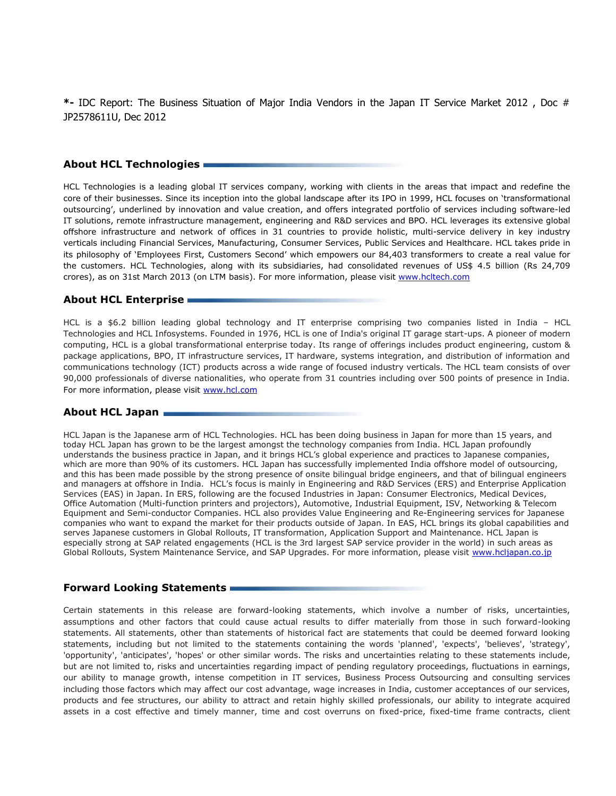**\*-** IDC Report: The Business Situation of Major India Vendors in the Japan IT Service Market 2012 , Doc # JP2578611U, Dec 2012

# **About HCL Technologies**

HCL Technologies is a leading global IT services company, working with clients in the areas that impact and redefine the core of their businesses. Since its inception into the global landscape after its IPO in 1999, HCL focuses on 'transformational outsourcing', underlined by innovation and value creation, and offers integrated portfolio of services including software-led IT solutions, remote infrastructure management, engineering and R&D services and BPO. HCL leverages its extensive global offshore infrastructure and network of offices in 31 countries to provide holistic, multi-service delivery in key industry verticals including Financial Services, Manufacturing, Consumer Services, Public Services and Healthcare. HCL takes pride in its philosophy of 'Employees First, Customers Second' which empowers our 84,403 transformers to create a real value for the customers. HCL Technologies, along with its subsidiaries, had consolidated revenues of US\$ 4.5 billion (Rs 24,709 crores), as on 31st March 2013 (on LTM basis). For more information, please visit [www.hcltech.com](file:///C:/Users/eghudial/AppData/Local/Microsoft/Windows/Temporary%20Internet%20Files/Content.Outlook/ASNZVLQ3/www.hcltech.com)

# **About HCL Enterprise**

HCL is a \$6.2 billion leading global technology and IT enterprise comprising two companies listed in India – HCL Technologies and HCL Infosystems. Founded in 1976, HCL is one of India's original IT garage start-ups. A pioneer of modern computing, HCL is a global transformational enterprise today. Its range of offerings includes product engineering, custom & package applications, BPO, IT infrastructure services, IT hardware, systems integration, and distribution of information and communications technology (ICT) products across a wide range of focused industry verticals. The HCL team consists of over 90,000 professionals of diverse nationalities, who operate from 31 countries including over 500 points of presence in India. For more information, please visit [www.hcl.com](file:///C:/Users/eghudial/AppData/Local/Microsoft/Windows/Temporary%20Internet%20Files/Content.Outlook/ASNZVLQ3/www.hcl.com)

#### **About HCL Japan**

HCL Japan is the Japanese arm of HCL Technologies. HCL has been doing business in Japan for more than 15 years, and today HCL Japan has grown to be the largest amongst the technology companies from India. HCL Japan profoundly understands the business practice in Japan, and it brings HCL's global experience and practices to Japanese companies, which are more than 90% of its customers. HCL Japan has successfully implemented India offshore model of outsourcing, and this has been made possible by the strong presence of onsite bilingual bridge engineers, and that of bilingual engineers and managers at offshore in India. HCL's focus is mainly in Engineering and R&D Services (ERS) and Enterprise Application Services (EAS) in Japan. In ERS, following are the focused Industries in Japan: Consumer Electronics, Medical Devices, Office Automation (Multi-function printers and projectors), Automotive, Industrial Equipment, ISV, Networking & Telecom Equipment and Semi-conductor Companies. HCL also provides Value Engineering and Re-Engineering services for Japanese companies who want to expand the market for their products outside of Japan. In EAS, HCL brings its global capabilities and serves Japanese customers in Global Rollouts, IT transformation, Application Support and Maintenance. HCL Japan is especially strong at SAP related engagements (HCL is the 3rd largest SAP service provider in the world) in such areas as Global Rollouts, System Maintenance Service, and SAP Upgrades. For more information, please visit [www.hcljapan.co.jp](http://www.hcljapan.co.jp/)

## **Forward Looking Statements**

Certain statements in this release are forward-looking statements, which involve a number of risks, uncertainties, assumptions and other factors that could cause actual results to differ materially from those in such forward-looking statements. All statements, other than statements of historical fact are statements that could be deemed forward looking statements, including but not limited to the statements containing the words 'planned', 'expects', 'believes', 'strategy', 'opportunity', 'anticipates', 'hopes' or other similar words. The risks and uncertainties relating to these statements include, but are not limited to, risks and uncertainties regarding impact of pending regulatory proceedings, fluctuations in earnings, our ability to manage growth, intense competition in IT services, Business Process Outsourcing and consulting services including those factors which may affect our cost advantage, wage increases in India, customer acceptances of our services, products and fee structures, our ability to attract and retain highly skilled professionals, our ability to integrate acquired assets in a cost effective and timely manner, time and cost overruns on fixed-price, fixed-time frame contracts, client